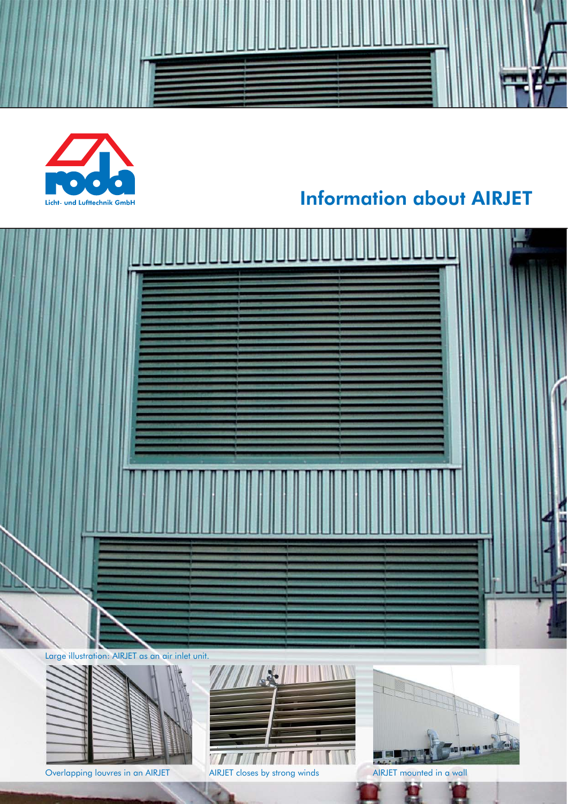

# Information about AIRJET





Overlapping louvres in an AIRJET AIRJET closes by strong winds AIRJET mounted in a wall